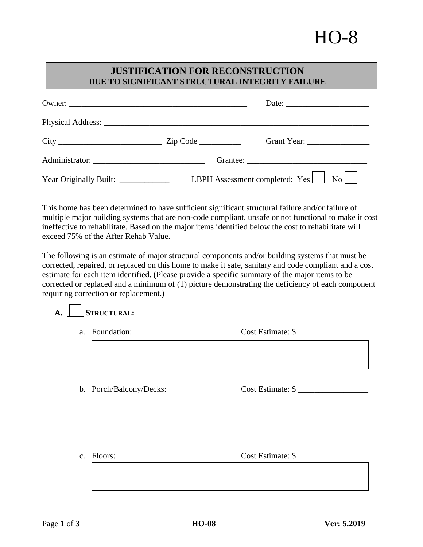## HO-8

## **JUSTIFICATION FOR RECONSTRUCTION DUE TO SIGNIFICANT STRUCTURAL INTEGRITY FAILURE**

|                                      | Grant Year: ___________________               |
|--------------------------------------|-----------------------------------------------|
| Administrator:                       |                                               |
| Year Originally Built: _____________ | LBPH Assessment completed: Yes<br>$No$ $\Box$ |

This home has been determined to have sufficient significant structural failure and/or failure of multiple major building systems that are non-code compliant, unsafe or not functional to make it cost ineffective to rehabilitate. Based on the major items identified below the cost to rehabilitate will exceed 75% of the After Rehab Value.

The following is an estimate of major structural components and/or building systems that must be corrected, repaired, or replaced on this home to make it safe, sanitary and code compliant and a cost estimate for each item identified. (Please provide a specific summary of the major items to be corrected or replaced and a minimum of (1) picture demonstrating the deficiency of each component requiring correction or replacement.)

|  | STRUCTURAL: |
|--|-------------|
|  |             |

- a. Foundation: Cost Estimate: \$
- b. Porch/Balcony/Decks: Cost Estimate: \$

c. Floors: Cost Estimate: \$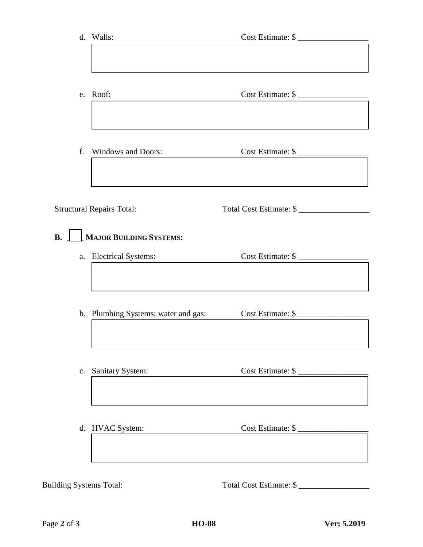|           | d. Walls:                           | Cost Estimate: \$       |  |
|-----------|-------------------------------------|-------------------------|--|
|           |                                     |                         |  |
|           |                                     |                         |  |
|           | e. Roof:                            | Cost Estimate: \$       |  |
|           |                                     |                         |  |
|           | f. Windows and Doors:               | Cost Estimate: \$       |  |
|           |                                     |                         |  |
|           | <b>Structural Repairs Total:</b>    | Total Cost Estimate: \$ |  |
|           |                                     |                         |  |
| <b>B.</b> | MAJOR BUILDING SYSTEMS:             |                         |  |
|           | a. Electrical Systems:              | Cost Estimate: \$       |  |
|           |                                     |                         |  |
|           | b. Plumbing Systems; water and gas: | Cost Estimate: \$       |  |
|           |                                     |                         |  |
|           |                                     |                         |  |
|           | c. Sanitary System:                 | Cost Estimate: \$       |  |
|           |                                     |                         |  |
|           | d. HVAC System:                     | Cost Estimate: \$       |  |
|           |                                     |                         |  |
|           |                                     |                         |  |

Building Systems Total: Total Cost Estimate: \$